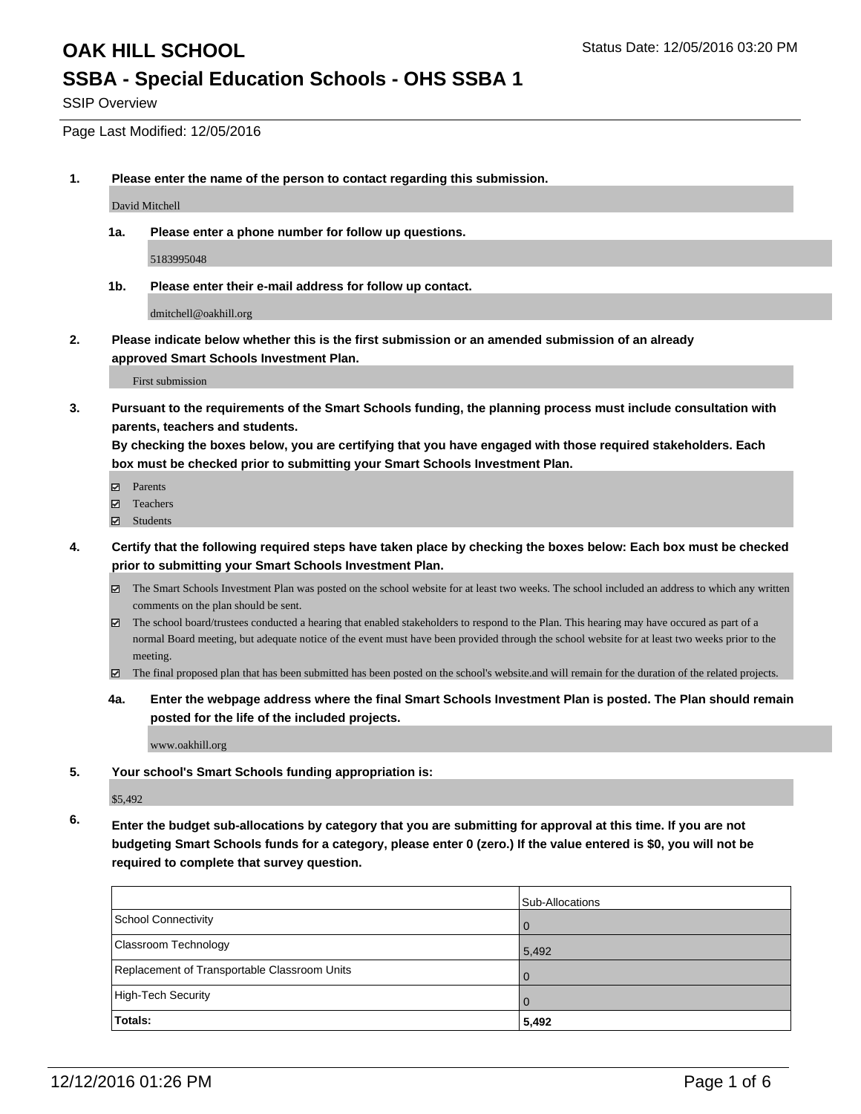## **SSBA - Special Education Schools - OHS SSBA 1**

SSIP Overview

Page Last Modified: 12/05/2016

**1. Please enter the name of the person to contact regarding this submission.**

David Mitchell

**1a. Please enter a phone number for follow up questions.**

5183995048

**1b. Please enter their e-mail address for follow up contact.**

dmitchell@oakhill.org

**2. Please indicate below whether this is the first submission or an amended submission of an already approved Smart Schools Investment Plan.**

First submission

**3. Pursuant to the requirements of the Smart Schools funding, the planning process must include consultation with parents, teachers and students.**

**By checking the boxes below, you are certifying that you have engaged with those required stakeholders. Each box must be checked prior to submitting your Smart Schools Investment Plan.**

- Parents
- Teachers
- **☑** Students
- **4. Certify that the following required steps have taken place by checking the boxes below: Each box must be checked prior to submitting your Smart Schools Investment Plan.**
	- The Smart Schools Investment Plan was posted on the school website for at least two weeks. The school included an address to which any written comments on the plan should be sent.
	- $\boxtimes$  The school board/trustees conducted a hearing that enabled stakeholders to respond to the Plan. This hearing may have occured as part of a normal Board meeting, but adequate notice of the event must have been provided through the school website for at least two weeks prior to the meeting.
	- The final proposed plan that has been submitted has been posted on the school's website.and will remain for the duration of the related projects.
	- **4a. Enter the webpage address where the final Smart Schools Investment Plan is posted. The Plan should remain posted for the life of the included projects.**

www.oakhill.org

**5. Your school's Smart Schools funding appropriation is:**

\$5,492

**6. Enter the budget sub-allocations by category that you are submitting for approval at this time. If you are not budgeting Smart Schools funds for a category, please enter 0 (zero.) If the value entered is \$0, you will not be required to complete that survey question.**

|                                              | Sub-Allocations |
|----------------------------------------------|-----------------|
| School Connectivity                          | $\Omega$        |
| <b>Classroom Technology</b>                  | 5,492           |
| Replacement of Transportable Classroom Units | $\Omega$        |
| High-Tech Security                           | $\Omega$        |
| <b>Totals:</b>                               | 5,492           |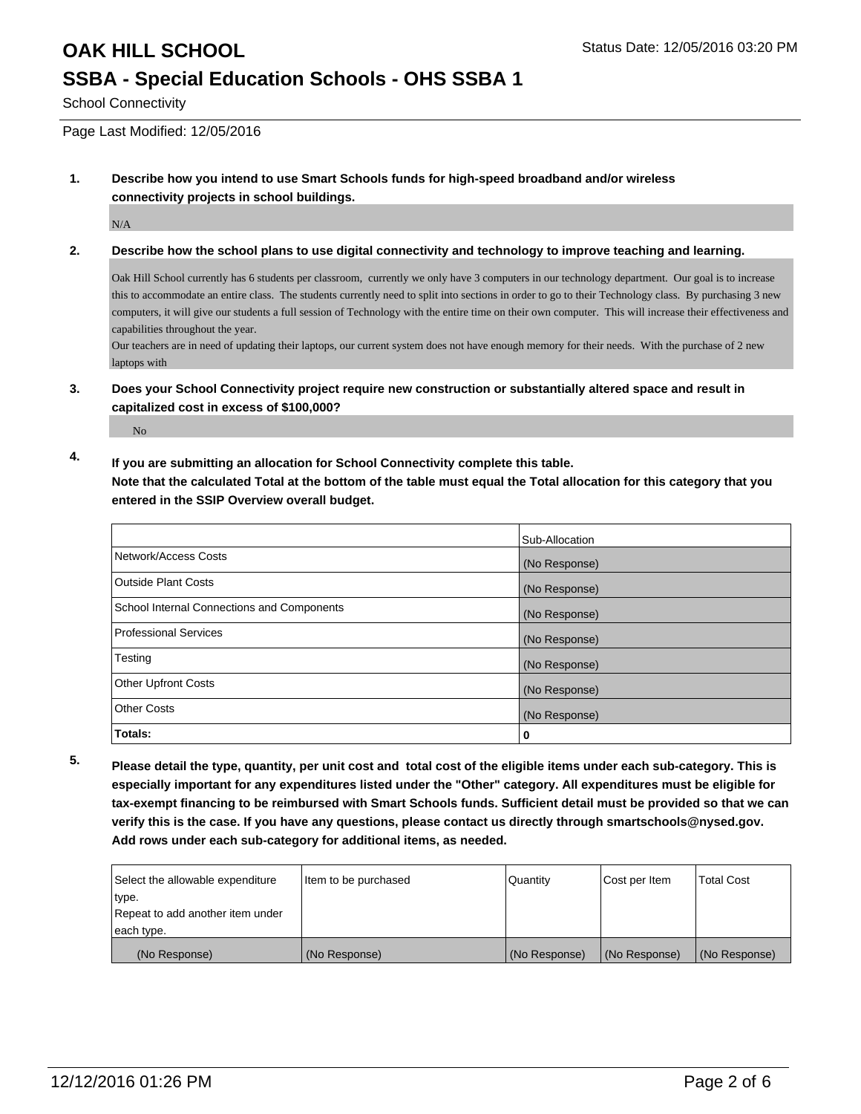## **OAK HILL SCHOOL** Status Date: 12/05/2016 03:20 PM **SSBA - Special Education Schools - OHS SSBA 1**

School Connectivity

Page Last Modified: 12/05/2016

**1. Describe how you intend to use Smart Schools funds for high-speed broadband and/or wireless connectivity projects in school buildings.**

N/A

#### **2. Describe how the school plans to use digital connectivity and technology to improve teaching and learning.**

Oak Hill School currently has 6 students per classroom, currently we only have 3 computers in our technology department. Our goal is to increase this to accommodate an entire class. The students currently need to split into sections in order to go to their Technology class. By purchasing 3 new computers, it will give our students a full session of Technology with the entire time on their own computer. This will increase their effectiveness and capabilities throughout the year.

Our teachers are in need of updating their laptops, our current system does not have enough memory for their needs. With the purchase of 2 new laptops with

**3. Does your School Connectivity project require new construction or substantially altered space and result in capitalized cost in excess of \$100,000?**

No

**4. If you are submitting an allocation for School Connectivity complete this table.**

**Note that the calculated Total at the bottom of the table must equal the Total allocation for this category that you entered in the SSIP Overview overall budget.** 

|                                            | Sub-Allocation |
|--------------------------------------------|----------------|
| Network/Access Costs                       | (No Response)  |
| <b>Outside Plant Costs</b>                 | (No Response)  |
| School Internal Connections and Components | (No Response)  |
| <b>Professional Services</b>               | (No Response)  |
| Testing                                    | (No Response)  |
| <b>Other Upfront Costs</b>                 | (No Response)  |
| <b>Other Costs</b>                         | (No Response)  |
| Totals:                                    | 0              |

**5. Please detail the type, quantity, per unit cost and total cost of the eligible items under each sub-category. This is especially important for any expenditures listed under the "Other" category. All expenditures must be eligible for tax-exempt financing to be reimbursed with Smart Schools funds. Sufficient detail must be provided so that we can verify this is the case. If you have any questions, please contact us directly through smartschools@nysed.gov. Add rows under each sub-category for additional items, as needed.**

| Select the allowable expenditure | Item to be purchased | Quantity      | Cost per Item | <b>Total Cost</b> |
|----------------------------------|----------------------|---------------|---------------|-------------------|
| type.                            |                      |               |               |                   |
| Repeat to add another item under |                      |               |               |                   |
| each type.                       |                      |               |               |                   |
| (No Response)                    | (No Response)        | (No Response) | (No Response) | (No Response)     |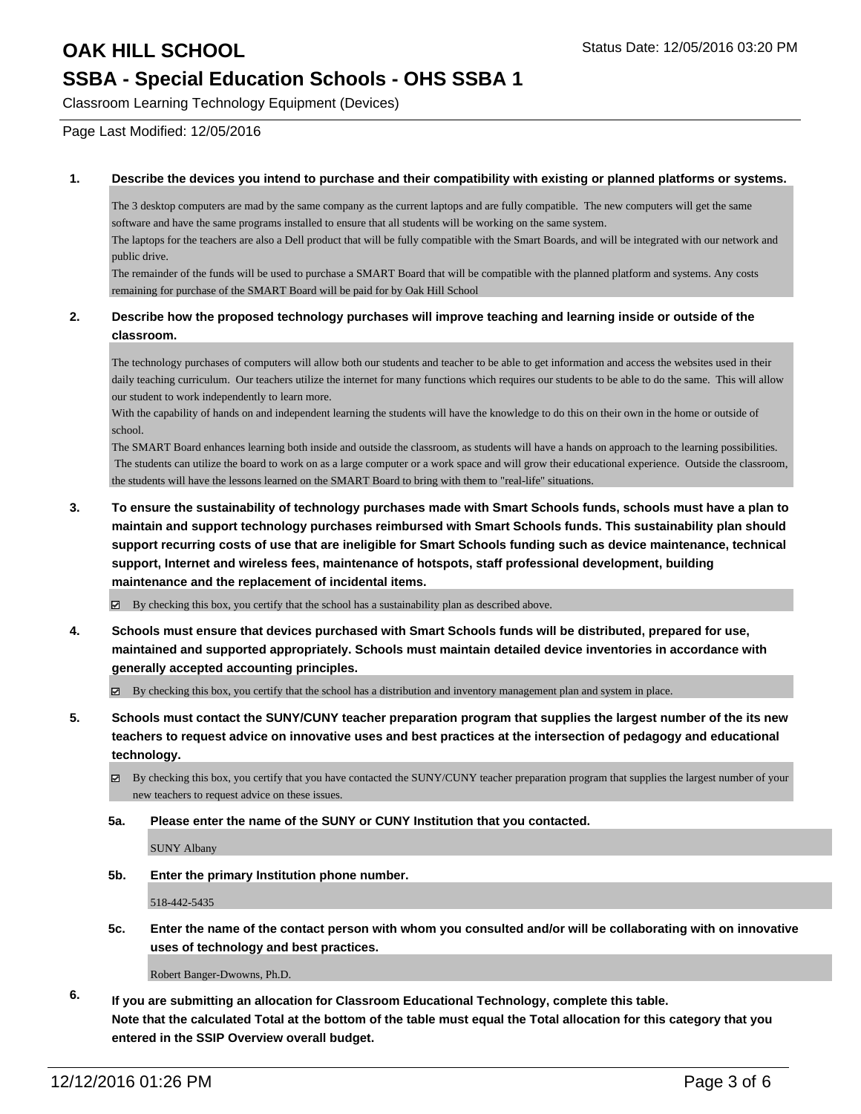## **OAK HILL SCHOOL** Status Date: 12/05/2016 03:20 PM

## **SSBA - Special Education Schools - OHS SSBA 1**

Classroom Learning Technology Equipment (Devices)

Page Last Modified: 12/05/2016

#### **1. Describe the devices you intend to purchase and their compatibility with existing or planned platforms or systems.**

The 3 desktop computers are mad by the same company as the current laptops and are fully compatible. The new computers will get the same software and have the same programs installed to ensure that all students will be working on the same system.

The laptops for the teachers are also a Dell product that will be fully compatible with the Smart Boards, and will be integrated with our network and public drive.

The remainder of the funds will be used to purchase a SMART Board that will be compatible with the planned platform and systems. Any costs remaining for purchase of the SMART Board will be paid for by Oak Hill School

#### **2. Describe how the proposed technology purchases will improve teaching and learning inside or outside of the classroom.**

The technology purchases of computers will allow both our students and teacher to be able to get information and access the websites used in their daily teaching curriculum. Our teachers utilize the internet for many functions which requires our students to be able to do the same. This will allow our student to work independently to learn more.

With the capability of hands on and independent learning the students will have the knowledge to do this on their own in the home or outside of school.

The SMART Board enhances learning both inside and outside the classroom, as students will have a hands on approach to the learning possibilities. The students can utilize the board to work on as a large computer or a work space and will grow their educational experience. Outside the classroom, the students will have the lessons learned on the SMART Board to bring with them to "real-life" situations.

**3. To ensure the sustainability of technology purchases made with Smart Schools funds, schools must have a plan to maintain and support technology purchases reimbursed with Smart Schools funds. This sustainability plan should support recurring costs of use that are ineligible for Smart Schools funding such as device maintenance, technical support, Internet and wireless fees, maintenance of hotspots, staff professional development, building maintenance and the replacement of incidental items.**

By checking this box, you certify that the school has a sustainability plan as described above.

- **4. Schools must ensure that devices purchased with Smart Schools funds will be distributed, prepared for use, maintained and supported appropriately. Schools must maintain detailed device inventories in accordance with generally accepted accounting principles.**
	- $\blacksquare$ By checking this box, you certify that the school has a distribution and inventory management plan and system in place.
- **5. Schools must contact the SUNY/CUNY teacher preparation program that supplies the largest number of the its new teachers to request advice on innovative uses and best practices at the intersection of pedagogy and educational technology.**
	- $\boxtimes$  By checking this box, you certify that you have contacted the SUNY/CUNY teacher preparation program that supplies the largest number of your new teachers to request advice on these issues.

#### **5a. Please enter the name of the SUNY or CUNY Institution that you contacted.**

SUNY Albany

**5b. Enter the primary Institution phone number.**

518-442-5435

**5c. Enter the name of the contact person with whom you consulted and/or will be collaborating with on innovative uses of technology and best practices.**

Robert Banger-Dwowns, Ph.D.

**6. If you are submitting an allocation for Classroom Educational Technology, complete this table. Note that the calculated Total at the bottom of the table must equal the Total allocation for this category that you entered in the SSIP Overview overall budget.**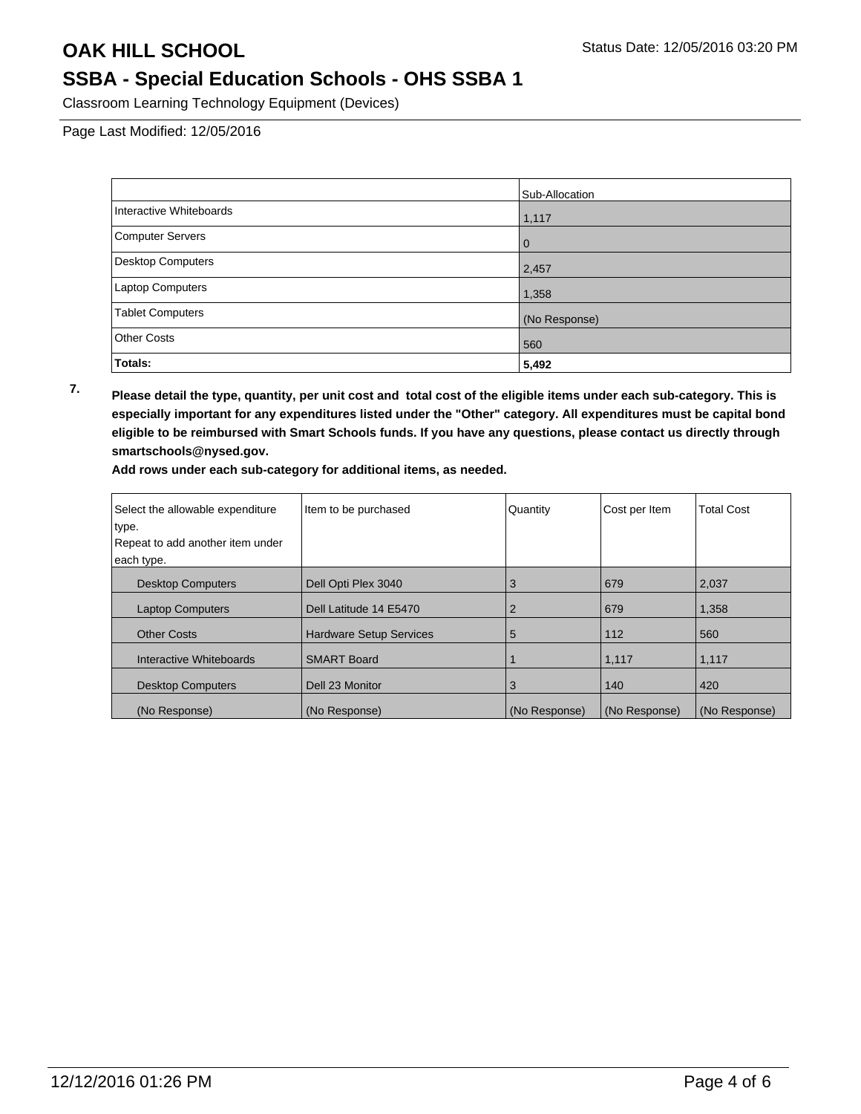## **OAK HILL SCHOOL** Status Date: 12/05/2016 03:20 PM

## **SSBA - Special Education Schools - OHS SSBA 1**

Classroom Learning Technology Equipment (Devices)

Page Last Modified: 12/05/2016

|                          | Sub-Allocation |
|--------------------------|----------------|
| Interactive Whiteboards  | 1,117          |
| <b>Computer Servers</b>  | l 0            |
| <b>Desktop Computers</b> | 2,457          |
| Laptop Computers         | 1,358          |
| <b>Tablet Computers</b>  | (No Response)  |
| <b>Other Costs</b>       | 560            |
| Totals:                  | 5,492          |

**7. Please detail the type, quantity, per unit cost and total cost of the eligible items under each sub-category. This is especially important for any expenditures listed under the "Other" category. All expenditures must be capital bond eligible to be reimbursed with Smart Schools funds. If you have any questions, please contact us directly through smartschools@nysed.gov.**

**Add rows under each sub-category for additional items, as needed.**

| Select the allowable expenditure | Item to be purchased           | Quantity      | Cost per Item | <b>Total Cost</b> |
|----------------------------------|--------------------------------|---------------|---------------|-------------------|
| type.                            |                                |               |               |                   |
| Repeat to add another item under |                                |               |               |                   |
| each type.                       |                                |               |               |                   |
| <b>Desktop Computers</b>         | Dell Opti Plex 3040            | 3             | 679           | 2,037             |
| <b>Laptop Computers</b>          | Dell Latitude 14 E5470         |               | 679           | 1,358             |
| <b>Other Costs</b>               | <b>Hardware Setup Services</b> | 5             | 112           | 560               |
| Interactive Whiteboards          | <b>SMART Board</b>             |               | 1,117         | 1,117             |
| <b>Desktop Computers</b>         | Dell 23 Monitor                | 3             | 140           | 420               |
| (No Response)                    | (No Response)                  | (No Response) | (No Response) | (No Response)     |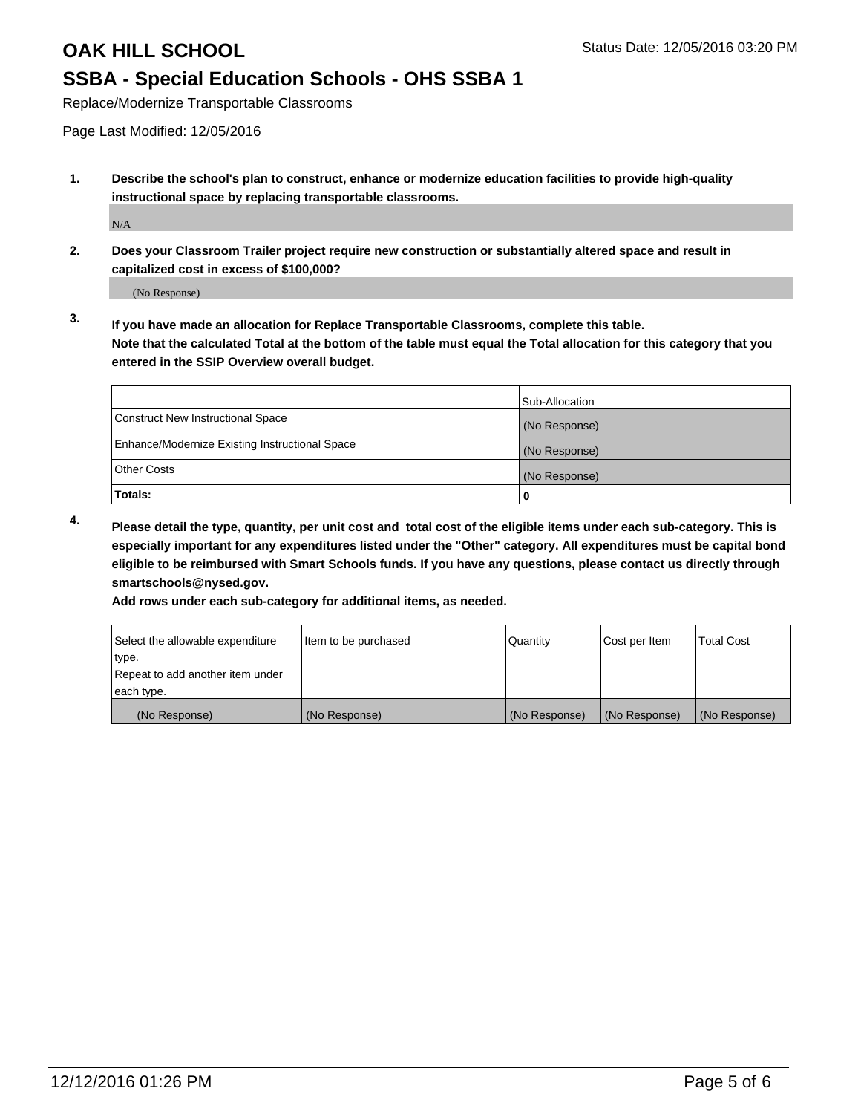# **SSBA - Special Education Schools - OHS SSBA 1**

Replace/Modernize Transportable Classrooms

Page Last Modified: 12/05/2016

**1. Describe the school's plan to construct, enhance or modernize education facilities to provide high-quality instructional space by replacing transportable classrooms.**

N/A

**2. Does your Classroom Trailer project require new construction or substantially altered space and result in capitalized cost in excess of \$100,000?**

(No Response)

**3. If you have made an allocation for Replace Transportable Classrooms, complete this table. Note that the calculated Total at the bottom of the table must equal the Total allocation for this category that you entered in the SSIP Overview overall budget.**

|                                                | Sub-Allocation |
|------------------------------------------------|----------------|
| Construct New Instructional Space              | (No Response)  |
| Enhance/Modernize Existing Instructional Space | (No Response)  |
| Other Costs                                    | (No Response)  |
| Totals:                                        | 0              |

**4. Please detail the type, quantity, per unit cost and total cost of the eligible items under each sub-category. This is especially important for any expenditures listed under the "Other" category. All expenditures must be capital bond eligible to be reimbursed with Smart Schools funds. If you have any questions, please contact us directly through smartschools@nysed.gov.**

**Add rows under each sub-category for additional items, as needed.**

| Select the allowable expenditure | Item to be purchased | Quantity      | Cost per Item | <b>Total Cost</b> |
|----------------------------------|----------------------|---------------|---------------|-------------------|
| ∣type.                           |                      |               |               |                   |
| Repeat to add another item under |                      |               |               |                   |
| each type.                       |                      |               |               |                   |
| (No Response)                    | (No Response)        | (No Response) | (No Response) | (No Response)     |